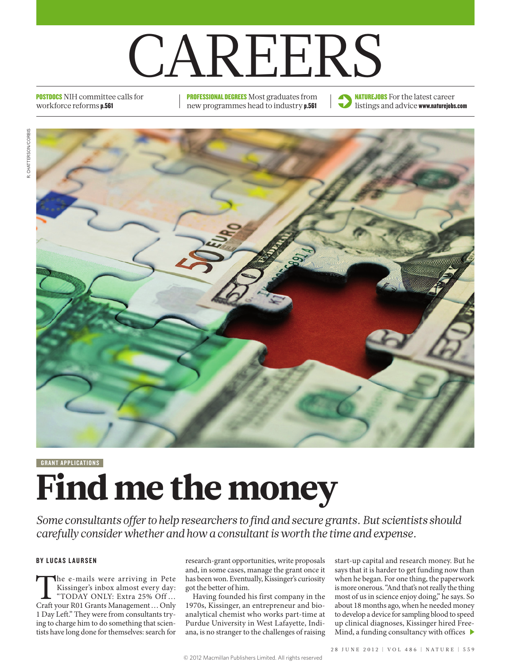# CAREERS

POSTDOCS NIH committee calls for workforce reforms p.561

PROFESSIONAL DEGREES Most graduates from new programmes head to industry p.561



NATUREJOBS For the latest career listings and advice www.naturejobs.com



# GRANT APPLICATIONS Find me the money

*Some consultants offer to help researchers to find and secure grants. But scientists should carefully consider whether and how a consultant is worth the time and expense.*

#### BY LUCAS LAURSEN

The e-mails were arriving in Pete<br>Kissinger's inbox almost every day:<br>"TODAY ONLY: Extra 25% Off...<br>Craft your R01 Grants Management... Only Kissinger's inbox almost every day: "TODAY ONLY: Extra 25% Off … Craft your R01 Grants Management…Only 1 Day Left." They were from consultants trying to charge him to do something that scientists have long done for themselves: search for

research-grant opportunities, write proposals and, in some cases, manage the grant once it has been won. Eventually, Kissinger's curiosity got the better of him.

Having founded his first company in the 1970s, Kissinger, an entrepreneur and bioanalytical chemist who works part-time at Purdue University in West Lafayette, Indiana, is no stranger to the challenges of raising

start-up capital and research money. But he says that it is harder to get funding now than when he began. For one thing, the paperwork is more onerous. "And that's not really the thing most of us in science enjoy doing," he says. So about 18 months ago, when he needed money to develop a device for sampling blood to speed up clinical diagnoses, Kissinger hired Free-Mind, a funding consultancy with offices  $\blacktriangleright$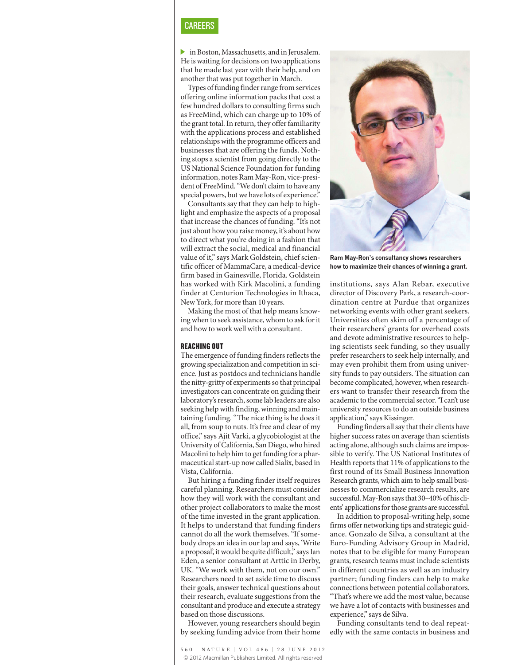### **CAREERS**

in Boston, Massachusetts, and in Jerusalem. He is waiting for decisions on two applications that he made last year with their help, and on another that was put together in March.

Types of funding finder range from services offering online information packs that cost a few hundred dollars to consulting firms such as FreeMind, which can charge up to 10% of the grant total. In return, they offer familiarity with the applications process and established relationships with the programme officers and businesses that are offering the funds. Nothing stops a scientist from going directly to the US National Science Foundation for funding information, notes Ram May-Ron, vice-president of FreeMind. "We don't claim to have any special powers, but we have lots of experience."

Consultants say that they can help to highlight and emphasize the aspects of a proposal that increase the chances of funding. "It's not just about how you raise money, it's about how to direct what you're doing in a fashion that will extract the social, medical and financial value of it," says Mark Goldstein, chief scientific officer of MammaCare, a medical-device firm based in Gainesville, Florida. Goldstein has worked with Kirk Macolini, a funding finder at Centurion Technologies in Ithaca, New York, for more than 10 years.

Making the most of that help means knowing when to seek assistance, whom to ask for it and how to work well with a consultant.

#### REACHING OUT

The emergence of funding finders reflects the growing specialization and competition in science. Just as postdocs and technicians handle the nitty-gritty of experiments so that principal investigators can concentrate on guiding their laboratory's research, some lab leaders are also seeking help with finding, winning and maintaining funding. "The nice thing is he does it all, from soup to nuts. It's free and clear of my office," says Ajit Varki, a glycobiologist at the University of California, San Diego, who hired Macolini to help him to get funding for a pharmaceutical start-up now called Sialix, based in Vista, California.

But hiring a funding finder itself requires careful planning. Researchers must consider how they will work with the consultant and other project collaborators to make the most of the time invested in the grant application. It helps to understand that funding finders cannot do all the work themselves. "If somebody drops an idea in our lap and says, 'Write a proposal', it would be quite difficult," says Ian Eden, a senior consultant at Arttic in Derby, UK. "We work with them, not on our own." Researchers need to set aside time to discuss their goals, answer technical questions about their research, evaluate suggestions from the consultant and produce and execute a strategy based on those discussions.

However, young researchers should begin by seeking funding advice from their home



**how to maximize their chances of winning a grant.**

institutions, says Alan Rebar, executive director of Discovery Park, a research-coordination centre at Purdue that organizes networking events with other grant seekers. Universities often skim off a percentage of their researchers' grants for overhead costs and devote administrative resources to helping scientists seek funding, so they usually prefer researchers to seek help internally, and may even prohibit them from using university funds to pay outsiders. The situation can become complicated, however, when researchers want to transfer their research from the academic to the commercial sector. "I can't use university resources to do an outside business application," says Kissinger.

Funding finders all say that their clients have higher success rates on average than scientists acting alone, although such claims are impossible to verify. The US National Institutes of Health reports that 11% of applications to the first round of its Small Business Innovation Research grants, which aim to help small businesses to commercialize research results, are successful. May-Ron says that 30–40% of his clients' applications for those grants are successful.

In addition to proposal-writing help, some firms offer networking tips and strategic guidance. Gonzalo de Silva, a consultant at the Euro-Funding Advisory Group in Madrid, notes that to be eligible for many European grants, research teams must include scientists in different countries as well as an industry partner; funding finders can help to make connections between potential collaborators. "That's where we add the most value, because we have a lot of contacts with businesses and experience," says de Silva.

Funding consultants tend to deal repeatedly with the same contacts in business and